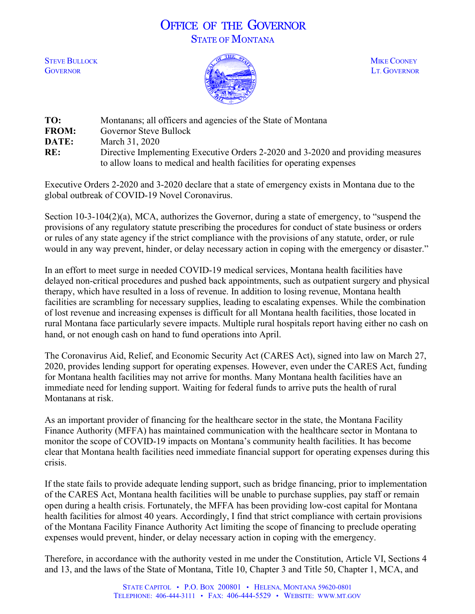## OFFICE OF THE GOVERNOR STATE OF MONTANA



| TO:          | Montanans; all officers and agencies of the State of Montana                     |
|--------------|----------------------------------------------------------------------------------|
| <b>FROM:</b> | Governor Steve Bullock                                                           |
| DATE:        | March 31, 2020                                                                   |
| RE:          | Directive Implementing Executive Orders 2-2020 and 3-2020 and providing measures |
|              | to allow loans to medical and health facilities for operating expenses           |

Executive Orders 2-2020 and 3-2020 declare that a state of emergency exists in Montana due to the global outbreak of COVID-19 Novel Coronavirus.

Section 10-3-104(2)(a), MCA, authorizes the Governor, during a state of emergency, to "suspend the provisions of any regulatory statute prescribing the procedures for conduct of state business or orders or rules of any state agency if the strict compliance with the provisions of any statute, order, or rule would in any way prevent, hinder, or delay necessary action in coping with the emergency or disaster."

In an effort to meet surge in needed COVID-19 medical services, Montana health facilities have delayed non-critical procedures and pushed back appointments, such as outpatient surgery and physical therapy, which have resulted in a loss of revenue. In addition to losing revenue, Montana health facilities are scrambling for necessary supplies, leading to escalating expenses. While the combination of lost revenue and increasing expenses is difficult for all Montana health facilities, those located in rural Montana face particularly severe impacts. Multiple rural hospitals report having either no cash on hand, or not enough cash on hand to fund operations into April.

The Coronavirus Aid, Relief, and Economic Security Act (CARES Act), signed into law on March 27, 2020, provides lending support for operating expenses. However, even under the CARES Act, funding for Montana health facilities may not arrive for months. Many Montana health facilities have an immediate need for lending support. Waiting for federal funds to arrive puts the health of rural Montanans at risk.

As an important provider of financing for the healthcare sector in the state, the Montana Facility Finance Authority (MFFA) has maintained communication with the healthcare sector in Montana to monitor the scope of COVID-19 impacts on Montana's community health facilities. It has become clear that Montana health facilities need immediate financial support for operating expenses during this crisis.

If the state fails to provide adequate lending support, such as bridge financing, prior to implementation of the CARES Act, Montana health facilities will be unable to purchase supplies, pay staff or remain open during a health crisis. Fortunately, the MFFA has been providing low-cost capital for Montana health facilities for almost 40 years. Accordingly, I find that strict compliance with certain provisions of the Montana Facility Finance Authority Act limiting the scope of financing to preclude operating expenses would prevent, hinder, or delay necessary action in coping with the emergency.

Therefore, in accordance with the authority vested in me under the Constitution, Article VI, Sections 4 and 13, and the laws of the State of Montana, Title 10, Chapter 3 and Title 50, Chapter 1, MCA, and